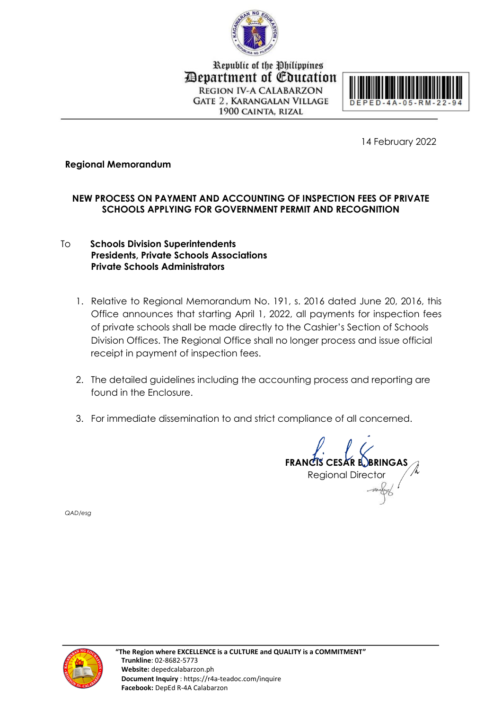

Republic of the Philippines Department of Education **REGION IV-A CALABARZON GATE 2. KARANGALAN VILLAGE** 1900 CAINTA, RIZAL



14 February 2022

## **Regional Memorandum**

# **NEW PROCESS ON PAYMENT AND ACCOUNTING OF INSPECTION FEES OF PRIVATE SCHOOLS APPLYING FOR GOVERNMENT PERMIT AND RECOGNITION**

## To **Schools Division Superintendents Presidents, Private Schools Associations Private Schools Administrators**

- 1. Relative to Regional Memorandum No. 191, s. 2016 dated June 20, 2016, this Office announces that starting April 1, 2022, all payments for inspection fees of private schools shall be made directly to the Cashier's Section of Schools Division Offices. The Regional Office shall no longer process and issue official receipt in payment of inspection fees.
- 2. The detailed guidelines including the accounting process and reporting are found in the Enclosure.
- 3. For immediate dissemination to and strict compliance of all concerned.

**FRANCIS CESAR BOBRINGAS** Regional Director

*QAD/esg*

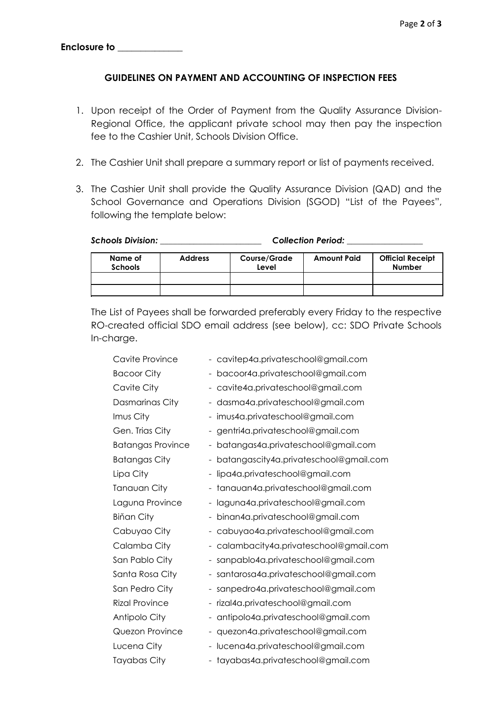#### **GUIDELINES ON PAYMENT AND ACCOUNTING OF INSPECTION FEES**

- 1. Upon receipt of the Order of Payment from the Quality Assurance Division-Regional Office, the applicant private school may then pay the inspection fee to the Cashier Unit, Schools Division Office.
- 2. The Cashier Unit shall prepare a summary report or list of payments received.
- 3. The Cashier Unit shall provide the Quality Assurance Division (QAD) and the School Governance and Operations Division (SGOD) "List of the Payees", following the template below:

*Schools Division: \_\_\_\_\_\_\_\_\_\_\_\_\_\_\_\_\_\_\_\_\_\_\_\_ Collection Period: \_\_\_\_\_\_\_\_\_\_\_\_\_\_\_\_\_\_*

| Name of<br><b>Schools</b> | <b>Address</b> | <b>Course/Grade</b><br>Level | <b>Amount Paid</b> | <b>Official Receipt</b><br><b>Number</b> |
|---------------------------|----------------|------------------------------|--------------------|------------------------------------------|
|                           |                |                              |                    |                                          |
|                           |                |                              |                    |                                          |

The List of Payees shall be forwarded preferably every Friday to the respective RO-created official SDO email address (see below), cc: SDO Private Schools In-charge.

| Cavite Province          | - cavitep4a.privateschool@gmail.com                                |  |  |
|--------------------------|--------------------------------------------------------------------|--|--|
| <b>Bacoor City</b>       | bacoor4a.privateschool@gmail.com                                   |  |  |
| Cavite City              | cavite4a.privateschool@gmail.com                                   |  |  |
| Dasmarinas City          | - dasma4a.privateschool@gmail.com                                  |  |  |
| Imus City                | - imus4a.privateschool@gmail.com                                   |  |  |
| Gen. Trias City          | - gentri4a.privateschool@gmail.com                                 |  |  |
| <b>Batangas Province</b> | batangas4a.privateschool@gmail.com<br>-                            |  |  |
| <b>Batangas City</b>     | batangascity4a.privateschool@gmail.com                             |  |  |
| Lipa City                | lipa4a.privateschool@gmail.com<br>÷,                               |  |  |
| Tanauan City             | tanauan4a.privateschool@gmail.com<br>$\qquad \qquad \blacksquare$  |  |  |
| Laguna Province          | laguna4a.privateschool@gmail.com                                   |  |  |
| <b>Biňan City</b>        | binan4a.privateschool@gmail.com                                    |  |  |
| Cabuyao City             | - cabuyao4a.privateschool@gmail.com                                |  |  |
| Calamba City             | - calambacity4a.privateschool@gmail.com                            |  |  |
| San Pablo City           | sanpablo4a.privateschool@gmail.com                                 |  |  |
| Santa Rosa City          | - santarosa4a.privateschool@gmail.com                              |  |  |
| San Pedro City           | - sanpedro4a.privateschool@gmail.com                               |  |  |
| <b>Rizal Province</b>    | rizal4a.privateschool@gmail.com<br>-                               |  |  |
| Antipolo City            | antipolo4a.privateschool@gmail.com<br>$\qquad \qquad \blacksquare$ |  |  |
| Quezon Province          | quezon4a.privateschool@gmail.com<br>$\frac{1}{2}$                  |  |  |
| Lucena City              | lucena4a.privateschool@gmail.com                                   |  |  |
| Tayabas City             | - tayabas4a.privateschool@gmail.com                                |  |  |